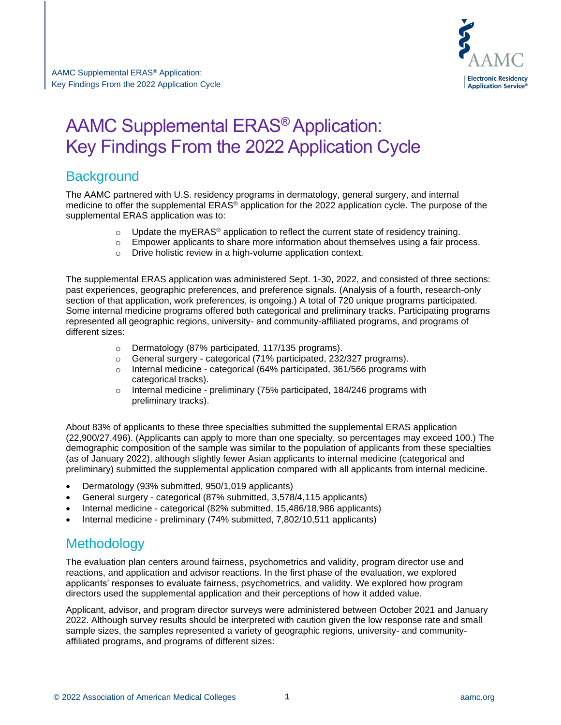

# **Background**

The AAMC partnered with U.S. residency programs in dermatology, general surgery, and internal medicine to offer the supplemental ERAS® application for the 2022 application cycle. The purpose of the supplemental ERAS application was to:

- $\circ$  Update the myERAS<sup>®</sup> application to reflect the current state of residency training.
- $\circ$  Empower applicants to share more information about themselves using a fair process.
- o Drive holistic review in a high-volume application context.

The supplemental ERAS application was administered Sept. 1-30, 2022, and consisted of three sections: past experiences, geographic preferences, and preference signals. (Analysis of a fourth, research-only section of that application, work preferences, is ongoing.) A total of 720 unique programs participated. Some internal medicine programs offered both categorical and preliminary tracks. Participating programs represented all geographic regions, university- and community-affiliated programs, and programs of different sizes:

- o Dermatology (87% participated, 117/135 programs).
- o General surgery categorical (71% participated, 232/327 programs).
- o Internal medicine categorical (64% participated, 361/566 programs with categorical tracks).
- o Internal medicine preliminary (75% participated, 184/246 programs with preliminary tracks).

About 83% of applicants to these three specialties submitted the supplemental ERAS application (22,900/27,496). (Applicants can apply to more than one specialty, so percentages may exceed 100.) The demographic composition of the sample was similar to the population of applicants from these specialties (as of January 2022), although slightly fewer Asian applicants to internal medicine (categorical and preliminary) submitted the supplemental application compared with all applicants from internal medicine.

- Dermatology (93% submitted, 950/1,019 applicants)
- General surgery categorical (87% submitted, 3,578/4,115 applicants)
- Internal medicine categorical (82% submitted, 15,486/18,986 applicants)
- Internal medicine preliminary (74% submitted, 7,802/10,511 applicants)

# **Methodology**

The evaluation plan centers around fairness, psychometrics and validity, program director use and reactions, and application and advisor reactions. In the first phase of the evaluation, we explored applicants' responses to evaluate fairness, psychometrics, and validity. We explored how program directors used the supplemental application and their perceptions of how it added value.

Applicant, advisor, and program director surveys were administered between October 2021 and January 2022. Although survey results should be interpreted with caution given the low response rate and small sample sizes, the samples represented a variety of geographic regions, university- and communityaffiliated programs, and programs of different sizes: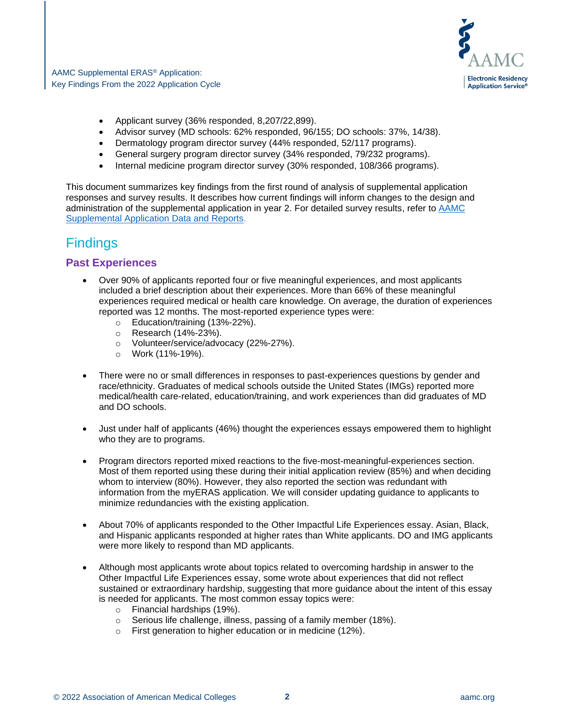

- Applicant survey (36% responded, 8,207/22,899).
- Advisor survey (MD schools: 62% responded, 96/155; DO schools: 37%, 14/38).
- Dermatology program director survey (44% responded, 52/117 programs).
- General surgery program director survey (34% responded, 79/232 programs).
- Internal medicine program director survey (30% responded, 108/366 programs).

This document summarizes key findings from the first round of analysis of supplemental application responses and survey results. It describes how current findings will inform changes to the design and administration of the supplemental application in year 2. For detailed survey results, refer to [AAMC](https://www.aamc.org/data-reports/students-residents/report/supplemental-eras-application-data-and-reports)  [Supplemental Application Data and Reports.](https://www.aamc.org/data-reports/students-residents/report/supplemental-eras-application-data-and-reports)

# Findings

#### **Past Experiences**

- Over 90% of applicants reported four or five meaningful experiences, and most applicants included a brief description about their experiences. More than 66% of these meaningful experiences required medical or health care knowledge. On average, the duration of experiences reported was 12 months. The most-reported experience types were:
	- $\circ$  Education/training (13%-22%).<br>  $\circ$  Research (14%-23%).
	- Research (14%-23%).
	- o Volunteer/service/advocacy (22%-27%).
	- o Work (11%-19%).
- There were no or small differences in responses to past-experiences questions by gender and race/ethnicity. Graduates of medical schools outside the United States (IMGs) reported more medical/health care-related, education/training, and work experiences than did graduates of MD and DO schools.
- Just under half of applicants (46%) thought the experiences essays empowered them to highlight who they are to programs.
- Program directors reported mixed reactions to the five-most-meaningful-experiences section. Most of them reported using these during their initial application review (85%) and when deciding whom to interview (80%). However, they also reported the section was redundant with information from the myERAS application. We will consider updating guidance to applicants to minimize redundancies with the existing application.
- About 70% of applicants responded to the Other Impactful Life Experiences essay. Asian, Black, and Hispanic applicants responded at higher rates than White applicants. DO and IMG applicants were more likely to respond than MD applicants.
- Although most applicants wrote about topics related to overcoming hardship in answer to the Other Impactful Life Experiences essay, some wrote about experiences that did not reflect sustained or extraordinary hardship, suggesting that more guidance about the intent of this essay is needed for applicants. The most common essay topics were:
	- o Financial hardships (19%).
	- o Serious life challenge, illness, passing of a family member (18%).
	- o First generation to higher education or in medicine (12%).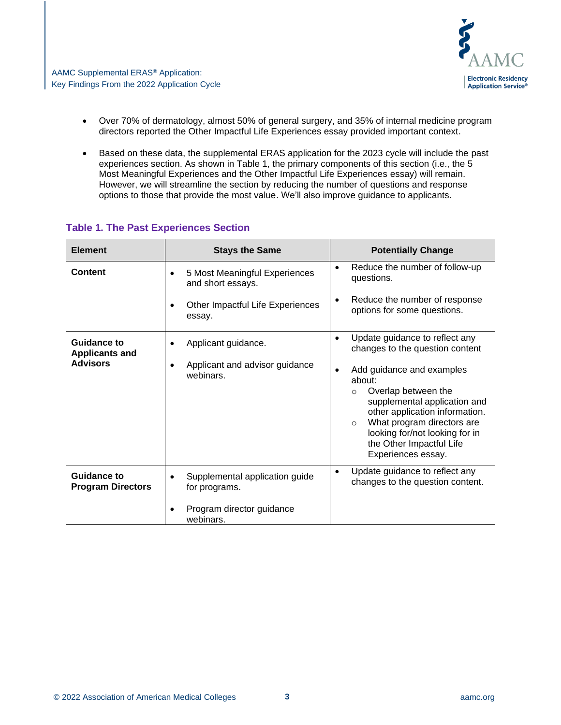

- Over 70% of dermatology, almost 50% of general surgery, and 35% of internal medicine program directors reported the Other Impactful Life Experiences essay provided important context.
- Based on these data, the supplemental ERAS application for the 2023 cycle will include the past experiences section. As shown in Table 1, the primary components of this section (i.e., the 5 Most Meaningful Experiences and the Other Impactful Life Experiences essay) will remain. However, we will streamline the section by reducing the number of questions and response options to those that provide the most value. We'll also improve guidance to applicants.

| <b>Element</b>                                 | <b>Stays the Same</b>                                                                                            | <b>Potentially Change</b>                                                                                                                                                                                                                                                 |
|------------------------------------------------|------------------------------------------------------------------------------------------------------------------|---------------------------------------------------------------------------------------------------------------------------------------------------------------------------------------------------------------------------------------------------------------------------|
| Content                                        | 5 Most Meaningful Experiences<br>$\bullet$<br>and short essays.<br>Other Impactful Life Experiences<br>$\bullet$ | Reduce the number of follow-up<br>٠<br>questions.<br>Reduce the number of response<br>$\bullet$<br>options for some questions.                                                                                                                                            |
|                                                | essay.                                                                                                           |                                                                                                                                                                                                                                                                           |
| Guidance to<br><b>Applicants and</b>           | Applicant guidance.<br>$\bullet$                                                                                 | Update guidance to reflect any<br>$\bullet$<br>changes to the question content                                                                                                                                                                                            |
| <b>Advisors</b>                                | Applicant and advisor guidance<br>$\bullet$<br>webinars.                                                         | Add guidance and examples<br>٠<br>about:<br>Overlap between the<br>$\circ$<br>supplemental application and<br>other application information.<br>What program directors are<br>$\circ$<br>looking for/not looking for in<br>the Other Impactful Life<br>Experiences essay. |
| <b>Guidance to</b><br><b>Program Directors</b> | Supplemental application guide<br>$\bullet$<br>for programs.                                                     | Update guidance to reflect any<br>changes to the question content.                                                                                                                                                                                                        |
|                                                | Program director guidance<br>$\bullet$<br>webinars.                                                              |                                                                                                                                                                                                                                                                           |

#### **Table 1. The Past Experiences Section**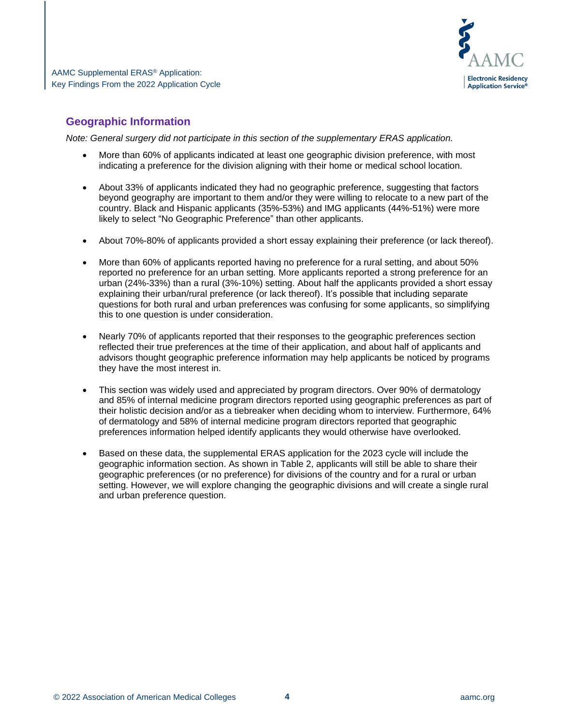

# **Geographic Information**

*Note: General surgery did not participate in this section of the supplementary ERAS application.*

- More than 60% of applicants indicated at least one geographic division preference, with most indicating a preference for the division aligning with their home or medical school location.
- About 33% of applicants indicated they had no geographic preference, suggesting that factors beyond geography are important to them and/or they were willing to relocate to a new part of the country. Black and Hispanic applicants (35%-53%) and IMG applicants (44%-51%) were more likely to select "No Geographic Preference" than other applicants.
- About 70%-80% of applicants provided a short essay explaining their preference (or lack thereof).
- More than 60% of applicants reported having no preference for a rural setting, and about 50% reported no preference for an urban setting*.* More applicants reported a strong preference for an urban (24%-33%) than a rural (3%-10%) setting. About half the applicants provided a short essay explaining their urban/rural preference (or lack thereof). It's possible that including separate questions for both rural and urban preferences was confusing for some applicants, so simplifying this to one question is under consideration.
- Nearly 70% of applicants reported that their responses to the geographic preferences section reflected their true preferences at the time of their application, and about half of applicants and advisors thought geographic preference information may help applicants be noticed by programs they have the most interest in.
- This section was widely used and appreciated by program directors. Over 90% of dermatology and 85% of internal medicine program directors reported using geographic preferences as part of their holistic decision and/or as a tiebreaker when deciding whom to interview. Furthermore, 64% of dermatology and 58% of internal medicine program directors reported that geographic preferences information helped identify applicants they would otherwise have overlooked.
- Based on these data, the supplemental ERAS application for the 2023 cycle will include the geographic information section. As shown in Table 2, applicants will still be able to share their geographic preferences (or no preference) for divisions of the country and for a rural or urban setting. However, we will explore changing the geographic divisions and will create a single rural and urban preference question.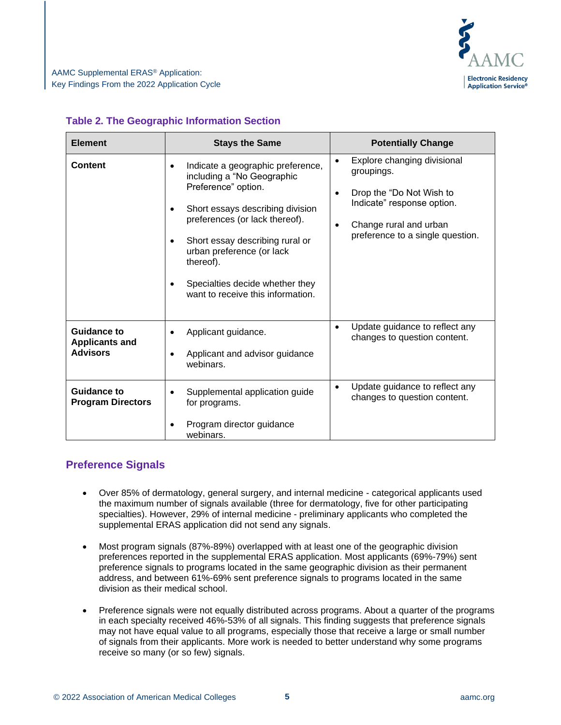

#### **Table 2. The Geographic Information Section**

| <b>Element</b>                                                 | <b>Stays the Same</b>                                                                                                                                                                                                                                                                                                                                                 | <b>Potentially Change</b>                                                                                                                                                                |
|----------------------------------------------------------------|-----------------------------------------------------------------------------------------------------------------------------------------------------------------------------------------------------------------------------------------------------------------------------------------------------------------------------------------------------------------------|------------------------------------------------------------------------------------------------------------------------------------------------------------------------------------------|
| <b>Content</b>                                                 | Indicate a geographic preference,<br>$\bullet$<br>including a "No Geographic<br>Preference" option.<br>Short essays describing division<br>$\bullet$<br>preferences (or lack thereof).<br>Short essay describing rural or<br>$\bullet$<br>urban preference (or lack<br>thereof).<br>Specialties decide whether they<br>$\bullet$<br>want to receive this information. | Explore changing divisional<br>$\bullet$<br>groupings.<br>Drop the "Do Not Wish to<br>٠<br>Indicate" response option.<br>Change rural and urban<br>٠<br>preference to a single question. |
| <b>Guidance to</b><br><b>Applicants and</b><br><b>Advisors</b> | Applicant guidance.<br>$\bullet$<br>Applicant and advisor guidance<br>$\bullet$<br>webinars.                                                                                                                                                                                                                                                                          | Update guidance to reflect any<br>changes to question content.                                                                                                                           |
| Guidance to<br><b>Program Directors</b>                        | Supplemental application guide<br>$\bullet$<br>for programs.<br>Program director guidance<br>webinars.                                                                                                                                                                                                                                                                | Update guidance to reflect any<br>$\bullet$<br>changes to question content.                                                                                                              |

### **Preference Signals**

- Over 85% of dermatology, general surgery, and internal medicine categorical applicants used the maximum number of signals available (three for dermatology, five for other participating specialties). However, 29% of internal medicine - preliminary applicants who completed the supplemental ERAS application did not send any signals.
- Most program signals (87%-89%) overlapped with at least one of the geographic division preferences reported in the supplemental ERAS application. Most applicants (69%-79%) sent preference signals to programs located in the same geographic division as their permanent address, and between 61%-69% sent preference signals to programs located in the same division as their medical school.
- Preference signals were not equally distributed across programs. About a quarter of the programs in each specialty received 46%-53% of all signals. This finding suggests that preference signals may not have equal value to all programs, especially those that receive a large or small number of signals from their applicants. More work is needed to better understand why some programs receive so many (or so few) signals.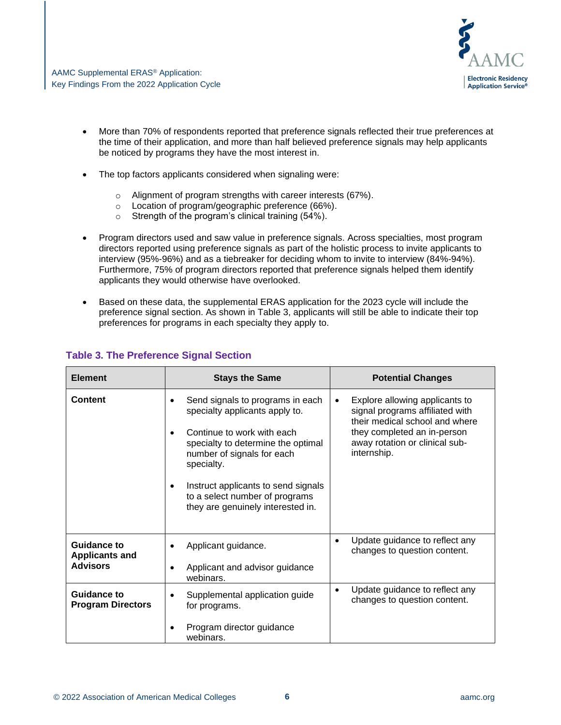

- More than 70% of respondents reported that preference signals reflected their true preferences at the time of their application, and more than half believed preference signals may help applicants be noticed by programs they have the most interest in.
- The top factors applicants considered when signaling were:
	- o Alignment of program strengths with career interests (67%).
	- o Location of program/geographic preference (66%).
	- o Strength of the program's clinical training (54%).
- Program directors used and saw value in preference signals. Across specialties, most program directors reported using preference signals as part of the holistic process to invite applicants to interview (95%-96%) and as a tiebreaker for deciding whom to invite to interview (84%-94%). Furthermore, 75% of program directors reported that preference signals helped them identify applicants they would otherwise have overlooked.
- Based on these data, the supplemental ERAS application for the 2023 cycle will include the preference signal section. As shown in Table 3, applicants will still be able to indicate their top preferences for programs in each specialty they apply to.

| <b>Element</b>                                          | <b>Stays the Same</b>                                                                                                                                                                                                                                                                                         | <b>Potential Changes</b>                                                                                                                                                                         |
|---------------------------------------------------------|---------------------------------------------------------------------------------------------------------------------------------------------------------------------------------------------------------------------------------------------------------------------------------------------------------------|--------------------------------------------------------------------------------------------------------------------------------------------------------------------------------------------------|
| <b>Content</b>                                          | Send signals to programs in each<br>$\bullet$<br>specialty applicants apply to.<br>Continue to work with each<br>specialty to determine the optimal<br>number of signals for each<br>specialty.<br>Instruct applicants to send signals<br>to a select number of programs<br>they are genuinely interested in. | Explore allowing applicants to<br>$\bullet$<br>signal programs affiliated with<br>their medical school and where<br>they completed an in-person<br>away rotation or clinical sub-<br>internship. |
| Guidance to<br><b>Applicants and</b><br><b>Advisors</b> | Applicant guidance.<br>$\bullet$<br>Applicant and advisor guidance<br>webinars.                                                                                                                                                                                                                               | Update guidance to reflect any<br>٠<br>changes to question content.                                                                                                                              |
| <b>Guidance to</b><br><b>Program Directors</b>          | Supplemental application guide<br>$\bullet$<br>for programs.<br>Program director guidance<br>٠<br>webinars.                                                                                                                                                                                                   | Update guidance to reflect any<br>$\bullet$<br>changes to question content.                                                                                                                      |

#### **Table 3. The Preference Signal Section**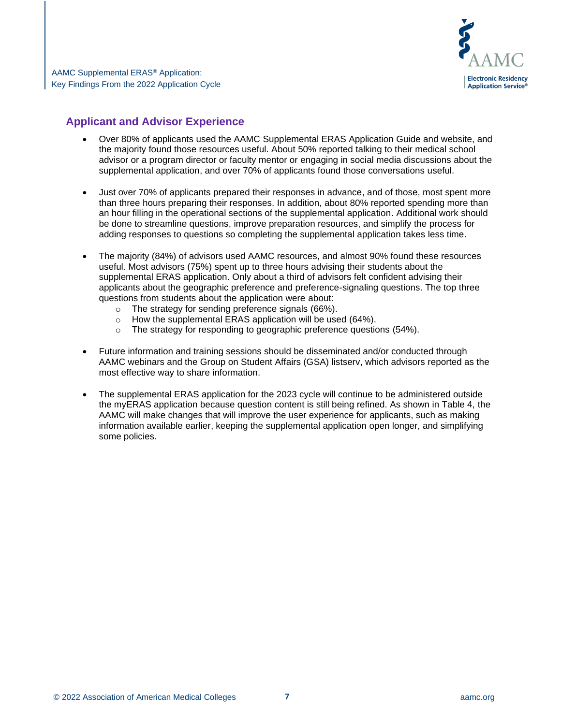

### **Applicant and Advisor Experience**

- Over 80% of applicants used the AAMC Supplemental ERAS Application Guide and website, and the majority found those resources useful. About 50% reported talking to their medical school advisor or a program director or faculty mentor or engaging in social media discussions about the supplemental application, and over 70% of applicants found those conversations useful.
- Just over 70% of applicants prepared their responses in advance, and of those, most spent more than three hours preparing their responses. In addition, about 80% reported spending more than an hour filling in the operational sections of the supplemental application. Additional work should be done to streamline questions, improve preparation resources, and simplify the process for adding responses to questions so completing the supplemental application takes less time.
- The majority (84%) of advisors used AAMC resources, and almost 90% found these resources useful. Most advisors (75%) spent up to three hours advising their students about the supplemental ERAS application. Only about a third of advisors felt confident advising their applicants about the geographic preference and preference-signaling questions. The top three questions from students about the application were about:
	- o The strategy for sending preference signals (66%).
	- $\circ$  How the supplemental ERAS application will be used (64%).
	- o The strategy for responding to geographic preference questions (54%).
- Future information and training sessions should be disseminated and/or conducted through AAMC webinars and the Group on Student Affairs (GSA) listserv, which advisors reported as the most effective way to share information.
- The supplemental ERAS application for the 2023 cycle will continue to be administered outside the myERAS application because question content is still being refined. As shown in Table 4, the AAMC will make changes that will improve the user experience for applicants, such as making information available earlier, keeping the supplemental application open longer, and simplifying some policies.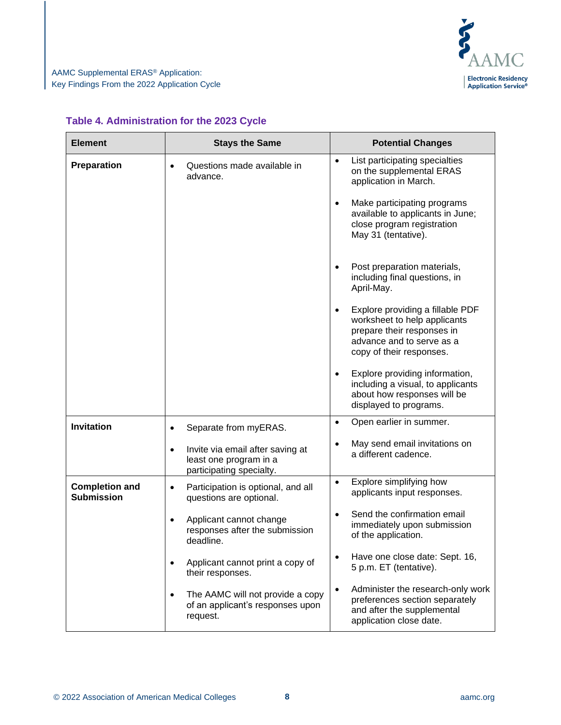

| <b>Element</b>                             | <b>Stays the Same</b>                                                                               | <b>Potential Changes</b>                                                                                                                                             |
|--------------------------------------------|-----------------------------------------------------------------------------------------------------|----------------------------------------------------------------------------------------------------------------------------------------------------------------------|
| Preparation                                | Questions made available in<br>$\bullet$<br>advance.                                                | List participating specialties<br>$\bullet$<br>on the supplemental ERAS<br>application in March.                                                                     |
|                                            |                                                                                                     | Make participating programs<br>$\bullet$<br>available to applicants in June;<br>close program registration<br>May 31 (tentative).                                    |
|                                            |                                                                                                     | Post preparation materials,<br>including final questions, in<br>April-May.                                                                                           |
|                                            |                                                                                                     | Explore providing a fillable PDF<br>$\bullet$<br>worksheet to help applicants<br>prepare their responses in<br>advance and to serve as a<br>copy of their responses. |
|                                            |                                                                                                     | Explore providing information,<br>including a visual, to applicants<br>about how responses will be<br>displayed to programs.                                         |
| Invitation                                 | Separate from myERAS.<br>$\bullet$                                                                  | Open earlier in summer.<br>$\bullet$                                                                                                                                 |
|                                            | Invite via email after saving at<br>$\bullet$<br>least one program in a<br>participating specialty. | May send email invitations on<br>a different cadence.                                                                                                                |
| <b>Completion and</b><br><b>Submission</b> | Participation is optional, and all<br>$\bullet$<br>questions are optional.                          | Explore simplifying how<br>$\bullet$<br>applicants input responses.                                                                                                  |
|                                            | Applicant cannot change<br>$\bullet$<br>responses after the submission<br>deadline.                 | Send the confirmation email<br>$\bullet$<br>immediately upon submission<br>of the application.                                                                       |
|                                            | Applicant cannot print a copy of<br>$\bullet$<br>their responses.                                   | Have one close date: Sept. 16,<br>5 p.m. ET (tentative).                                                                                                             |
|                                            | The AAMC will not provide a copy<br>$\bullet$<br>of an applicant's responses upon<br>request.       | Administer the research-only work<br>$\bullet$<br>preferences section separately<br>and after the supplemental<br>application close date.                            |

#### **Table 4. Administration for the 2023 Cycle**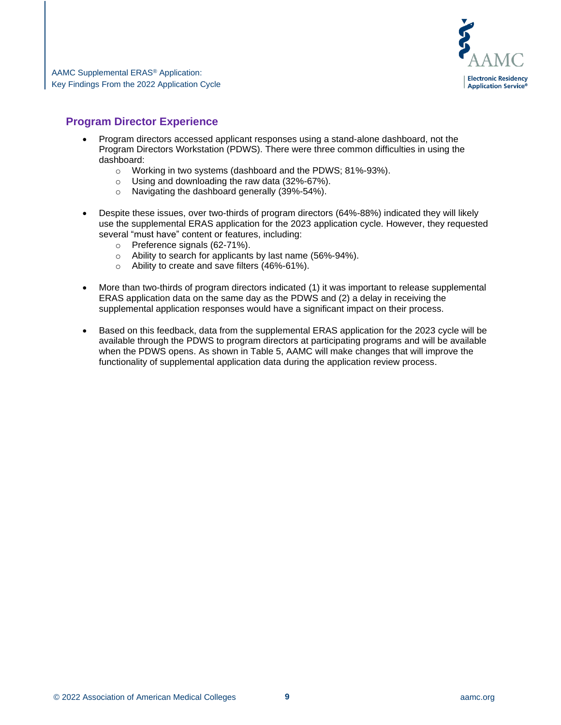

## **Program Director Experience**

- Program directors accessed applicant responses using a stand-alone dashboard, not the Program Directors Workstation (PDWS). There were three common difficulties in using the dashboard:
	- o Working in two systems (dashboard and the PDWS; 81%-93%).
	- o Using and downloading the raw data (32%-67%).
	- o Navigating the dashboard generally (39%-54%).
- Despite these issues, over two-thirds of program directors (64%-88%) indicated they will likely use the supplemental ERAS application for the 2023 application cycle. However, they requested several "must have" content or features, including:
	- o Preference signals (62-71%).
	- o Ability to search for applicants by last name (56%-94%).
	- o Ability to create and save filters (46%-61%).
- More than two-thirds of program directors indicated (1) it was important to release supplemental ERAS application data on the same day as the PDWS and (2) a delay in receiving the supplemental application responses would have a significant impact on their process.
- Based on this feedback, data from the supplemental ERAS application for the 2023 cycle will be available through the PDWS to program directors at participating programs and will be available when the PDWS opens. As shown in Table 5, AAMC will make changes that will improve the functionality of supplemental application data during the application review process.